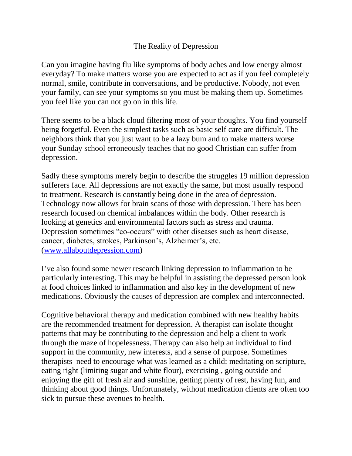## The Reality of Depression

Can you imagine having flu like symptoms of body aches and low energy almost everyday? To make matters worse you are expected to act as if you feel completely normal, smile, contribute in conversations, and be productive. Nobody, not even your family, can see your symptoms so you must be making them up. Sometimes you feel like you can not go on in this life.

There seems to be a black cloud filtering most of your thoughts. You find yourself being forgetful. Even the simplest tasks such as basic self care are difficult. The neighbors think that you just want to be a lazy bum and to make matters worse your Sunday school erroneously teaches that no good Christian can suffer from depression.

Sadly these symptoms merely begin to describe the struggles 19 million depression sufferers face. All depressions are not exactly the same, but most usually respond to treatment. Research is constantly being done in the area of depression. Technology now allows for brain scans of those with depression. There has been research focused on chemical imbalances within the body. Other research is looking at genetics and environmental factors such as stress and trauma. Depression sometimes "co-occurs" with other diseases such as heart disease, cancer, diabetes, strokes, Parkinson's, Alzheimer's, etc. [\(www.allaboutdepression.com\)](http://www.allaboutdepression.com/)

I've also found some newer research linking depression to inflammation to be particularly interesting. This may be helpful in assisting the depressed person look at food choices linked to inflammation and also key in the development of new medications. Obviously the causes of depression are complex and interconnected.

Cognitive behavioral therapy and medication combined with new healthy habits are the recommended treatment for depression. A therapist can isolate thought patterns that may be contributing to the depression and help a client to work through the maze of hopelessness. Therapy can also help an individual to find support in the community, new interests, and a sense of purpose. Sometimes therapists need to encourage what was learned as a child: meditating on scripture, eating right (limiting sugar and white flour), exercising , going outside and enjoying the gift of fresh air and sunshine, getting plenty of rest, having fun, and thinking about good things. Unfortunately, without medication clients are often too sick to pursue these avenues to health.